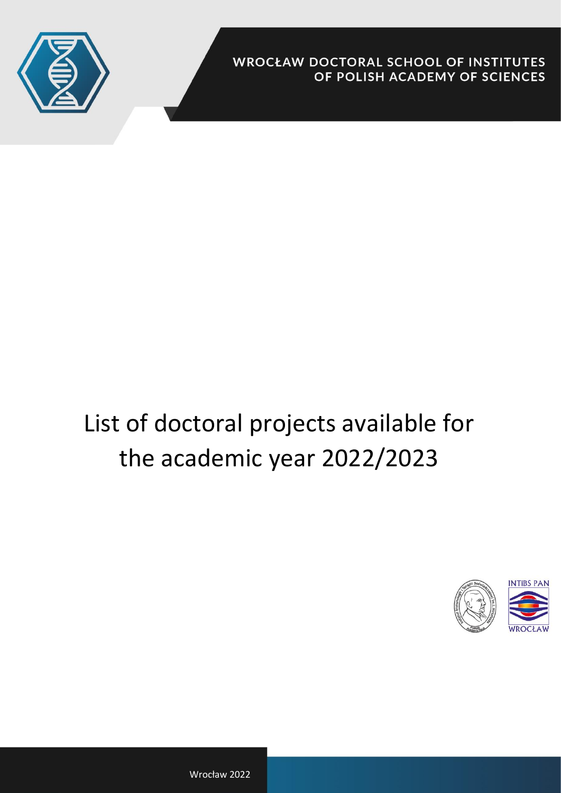

**WROCŁAW DOCTORAL SCHOOL OF INSTITUTES** OF POLISH ACADEMY OF SCIENCES

# List of doctoral projects available for the academic year 2022/2023



Wrocław 2022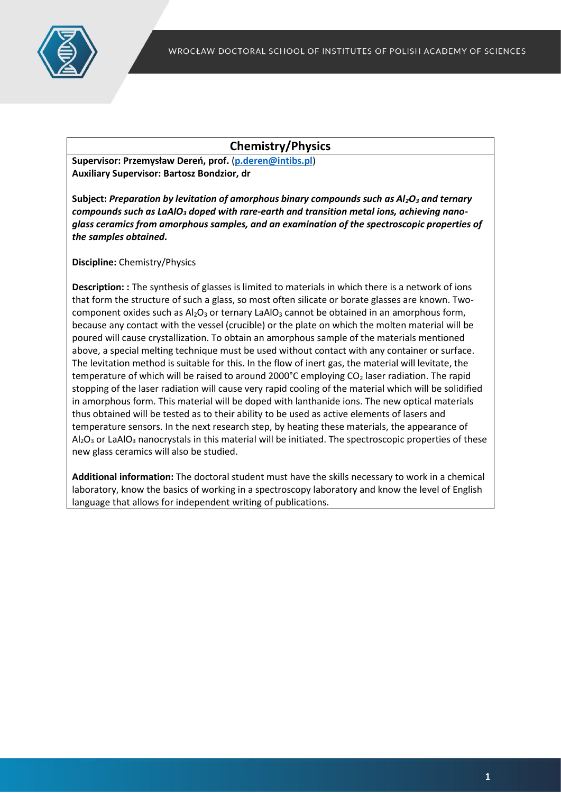

# **Chemistry/Physics**

**Supervisor: Przemysław Dereń, prof.** (**[p.deren@intibs.pl](mailto:p.deren@intibs.pl)**) **Auxiliary Supervisor: Bartosz Bondzior, dr**

**Subject:** *Preparation by levitation of amorphous binary compounds such as Al2O<sup>3</sup> and ternary compounds such as LaAlO<sup>3</sup> doped with rare-earth and transition metal ions, achieving nanoglass ceramics from amorphous samples, and an examination of the spectroscopic properties of the samples obtained.*

**Discipline:** Chemistry/Physics

**Description: :** The synthesis of glasses is limited to materials in which there is a network of ions that form the structure of such a glass, so most often silicate or borate glasses are known. Twocomponent oxides such as  $Al_2O_3$  or ternary LaAlO<sub>3</sub> cannot be obtained in an amorphous form, because any contact with the vessel (crucible) or the plate on which the molten material will be poured will cause crystallization. To obtain an amorphous sample of the materials mentioned above, a special melting technique must be used without contact with any container or surface. The levitation method is suitable for this. In the flow of inert gas, the material will levitate, the temperature of which will be raised to around 2000°C employing  $CO<sub>2</sub>$  laser radiation. The rapid stopping of the laser radiation will cause very rapid cooling of the material which will be solidified in amorphous form. This material will be doped with lanthanide ions. The new optical materials thus obtained will be tested as to their ability to be used as active elements of lasers and temperature sensors. In the next research step, by heating these materials, the appearance of  $Al_2O_3$  or LaAlO<sub>3</sub> nanocrystals in this material will be initiated. The spectroscopic properties of these new glass ceramics will also be studied.

**Additional information:** The doctoral student must have the skills necessary to work in a chemical laboratory, know the basics of working in a spectroscopy laboratory and know the level of English language that allows for independent writing of publications.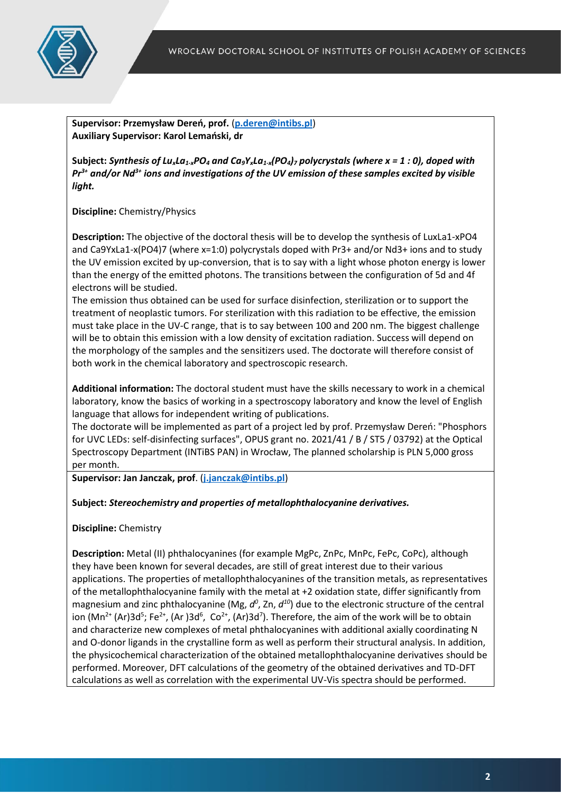

**Supervisor: Przemysław Dereń, prof.** (**[p.deren@intibs.pl](mailto:p.deren@intibs.pl)**) **Auxiliary Supervisor: Karol Lemański, dr**

**Subject:** *Synthesis of LuxLa1-xPO<sup>4</sup> and Ca9YxLa1-x(PO4)<sup>7</sup> polycrystals (where x = 1 : 0), doped with Pr3+ and/or Nd3+ ions and investigations of the UV emission of these samples excited by visible light.*

**Discipline:** Chemistry/Physics

**Description:** The objective of the doctoral thesis will be to develop the synthesis of LuxLa1-xPO4 and Ca9YxLa1-x(PO4)7 (where x=1:0) polycrystals doped with Pr3+ and/or Nd3+ ions and to study the UV emission excited by up-conversion, that is to say with a light whose photon energy is lower than the energy of the emitted photons. The transitions between the configuration of 5d and 4f electrons will be studied.

The emission thus obtained can be used for surface disinfection, sterilization or to support the treatment of neoplastic tumors. For sterilization with this radiation to be effective, the emission must take place in the UV-C range, that is to say between 100 and 200 nm. The biggest challenge will be to obtain this emission with a low density of excitation radiation. Success will depend on the morphology of the samples and the sensitizers used. The doctorate will therefore consist of both work in the chemical laboratory and spectroscopic research.

**Additional information:** The doctoral student must have the skills necessary to work in a chemical laboratory, know the basics of working in a spectroscopy laboratory and know the level of English language that allows for independent writing of publications.

The doctorate will be implemented as part of a project led by prof. Przemysław Dereń: "Phosphors for UVC LEDs: self-disinfecting surfaces", OPUS grant no. 2021/41 / B / ST5 / 03792) at the Optical Spectroscopy Department (INTiBS PAN) in Wrocław, The planned scholarship is PLN 5,000 gross per month.

**Supervisor: Jan Janczak, prof**. (**[j.janczak@intibs.pl](mailto:j.janczak@intibs.pl)**)

#### **Subject:** *Stereochemistry and properties of metallophthalocyanine derivatives.*

**Discipline:** Chemistry

**Description:** Metal (II) phthalocyanines (for example MgPc, ZnPc, MnPc, FePc, CoPc), although they have been known for several decades, are still of great interest due to their various applications. The properties of metallophthalocyanines of the transition metals, as representatives of the metallophthalocyanine family with the metal at +2 oxidation state, differ significantly from magnesium and zinc phthalocyanine (Mg, d<sup>o</sup>, Zn, d<sup>10</sup>) due to the electronic structure of the central ion (Mn<sup>2+</sup> (Ar)3d<sup>5</sup>; Fe<sup>2+</sup>, (Ar)3d<sup>6</sup>, Co<sup>2+</sup>, (Ar)3d<sup>7</sup>). Therefore, the aim of the work will be to obtain and characterize new complexes of metal phthalocyanines with additional axially coordinating N and O-donor ligands in the crystalline form as well as perform their structural analysis. In addition, the physicochemical characterization of the obtained metallophthalocyanine derivatives should be performed. Moreover, DFT calculations of the geometry of the obtained derivatives and TD-DFT calculations as well as correlation with the experimental UV-Vis spectra should be performed.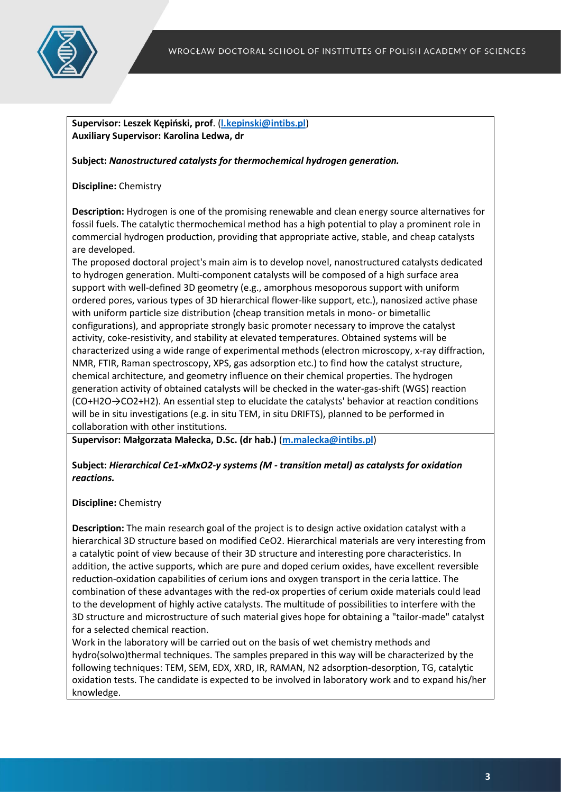

**Supervisor: Leszek Kępiński, prof**. (**[l.kepinski@intibs.pl](mailto:l.kepinski@intibs.pl)**) **Auxiliary Supervisor: Karolina Ledwa, dr**

**Subject:** *Nanostructured catalysts for thermochemical hydrogen generation.*

**Discipline:** Chemistry

**Description:** Hydrogen is one of the promising renewable and clean energy source alternatives for fossil fuels. The catalytic thermochemical method has a high potential to play a prominent role in commercial hydrogen production, providing that appropriate active, stable, and cheap catalysts are developed.

The proposed doctoral project's main aim is to develop novel, nanostructured catalysts dedicated to hydrogen generation. Multi-component catalysts will be composed of a high surface area support with well-defined 3D geometry (e.g., amorphous mesoporous support with uniform ordered pores, various types of 3D hierarchical flower-like support, etc.), nanosized active phase with uniform particle size distribution (cheap transition metals in mono- or bimetallic configurations), and appropriate strongly basic promoter necessary to improve the catalyst activity, coke-resistivity, and stability at elevated temperatures. Obtained systems will be characterized using a wide range of experimental methods (electron microscopy, x-ray diffraction, NMR, FTIR, Raman spectroscopy, XPS, gas adsorption etc.) to find how the catalyst structure, chemical architecture, and geometry influence on their chemical properties. The hydrogen generation activity of obtained catalysts will be checked in the water-gas-shift (WGS) reaction (CO+H2O→CO2+H2). An essential step to elucidate the catalysts' behavior at reaction conditions will be in situ investigations (e.g. in situ TEM, in situ DRIFTS), planned to be performed in collaboration with other institutions.

**Supervisor: Małgorzata Małecka, D.Sc. (dr hab.)** (**[m.malecka@intibs.pl](mailto:m.malecka@intibs.pl)**)

# **Subject:** *Hierarchical Ce1-xMxO2-y systems (M - transition metal) as catalysts for oxidation reactions.*

#### **Discipline:** Chemistry

**Description:** The main research goal of the project is to design active oxidation catalyst with a hierarchical 3D structure based on modified CeO2. Hierarchical materials are very interesting from a catalytic point of view because of their 3D structure and interesting pore characteristics. In addition, the active supports, which are pure and doped cerium oxides, have excellent reversible reduction-oxidation capabilities of cerium ions and oxygen transport in the ceria lattice. The combination of these advantages with the red-ox properties of cerium oxide materials could lead to the development of highly active catalysts. The multitude of possibilities to interfere with the 3D structure and microstructure of such material gives hope for obtaining a "tailor-made" catalyst for a selected chemical reaction.

Work in the laboratory will be carried out on the basis of wet chemistry methods and hydro(solwo)thermal techniques. The samples prepared in this way will be characterized by the following techniques: TEM, SEM, EDX, XRD, IR, RAMAN, N2 adsorption-desorption, TG, catalytic oxidation tests. The candidate is expected to be involved in laboratory work and to expand his/her knowledge.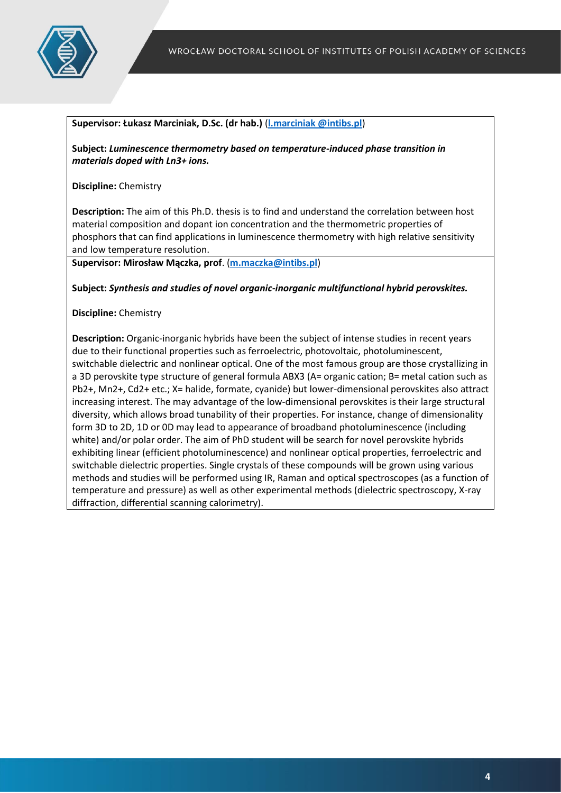

#### **Supervisor: Łukasz Marciniak, D.Sc. (dr hab.)** (**[l.marciniak @intibs.pl](mailto:w.mista@intibs.pl)**)

**Subject:** *Luminescence thermometry based on temperature-induced phase transition in materials doped with Ln3+ ions.*

**Discipline:** Chemistry

**Description:** The aim of this Ph.D. thesis is to find and understand the correlation between host material composition and dopant ion concentration and the thermometric properties of phosphors that can find applications in luminescence thermometry with high relative sensitivity and low temperature resolution.

**Supervisor: Mirosław Mączka, prof**. (**[m.maczka@intibs.pl](mailto:m.maczka@intibs.pl)**)

**Subject:** *Synthesis and studies of novel organic-inorganic multifunctional hybrid perovskites.*

**Discipline:** Chemistry

**Description:** Organic-inorganic hybrids have been the subject of intense studies in recent years due to their functional properties such as ferroelectric, photovoltaic, photoluminescent, switchable dielectric and nonlinear optical. One of the most famous group are those crystallizing in a 3D perovskite type structure of general formula ABX3 (A= organic cation; B= metal cation such as Pb2+, Mn2+, Cd2+ etc.; X= halide, formate, cyanide) but lower-dimensional perovskites also attract increasing interest. The may advantage of the low-dimensional perovskites is their large structural diversity, which allows broad tunability of their properties. For instance, change of dimensionality form 3D to 2D, 1D or 0D may lead to appearance of broadband photoluminescence (including white) and/or polar order. The aim of PhD student will be search for novel perovskite hybrids exhibiting linear (efficient photoluminescence) and nonlinear optical properties, ferroelectric and switchable dielectric properties. Single crystals of these compounds will be grown using various methods and studies will be performed using IR, Raman and optical spectroscopes (as a function of temperature and pressure) as well as other experimental methods (dielectric spectroscopy, X-ray diffraction, differential scanning calorimetry).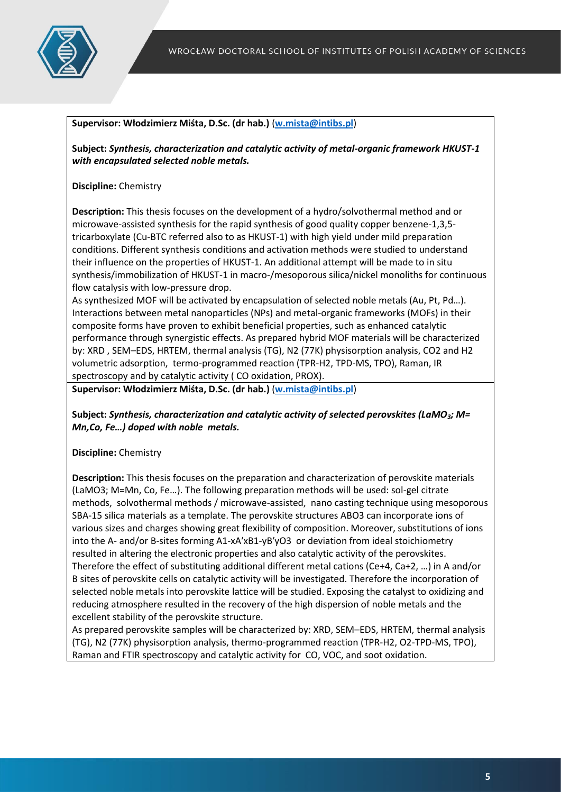

## **Supervisor: Włodzimierz Miśta, D.Sc. (dr hab.)** (**[w.mista@intibs.pl](mailto:w.mista@intibs.pl)**)

**Subject:** *Synthesis, characterization and catalytic activity of metal-organic framework HKUST-1 with encapsulated selected noble metals.*

## **Discipline:** Chemistry

**Description:** This thesis focuses on the development of a hydro/solvothermal method and or microwave-assisted synthesis for the rapid synthesis of good quality copper benzene-1,3,5 tricarboxylate (Cu-BTC referred also to as HKUST-1) with high yield under mild preparation conditions. Different synthesis conditions and activation methods were studied to understand their influence on the properties of HKUST-1. An additional attempt will be made to in situ synthesis/immobilization of HKUST-1 in macro-/mesoporous silica/nickel monoliths for continuous flow catalysis with low-pressure drop.

As synthesized MOF will be activated by encapsulation of selected noble metals (Au, Pt, Pd…). Interactions between metal nanoparticles (NPs) and metal-organic frameworks (MOFs) in their composite forms have proven to exhibit beneficial properties, such as enhanced catalytic performance through synergistic effects. As prepared hybrid MOF materials will be characterized by: XRD , SEM–EDS, HRTEM, thermal analysis (TG), N2 (77K) physisorption analysis, CO2 and H2 volumetric adsorption, termo-programmed reaction (TPR-H2, TPD-MS, TPO), Raman, IR spectroscopy and by catalytic activity ( CO oxidation, PROX).

**Supervisor: Włodzimierz Miśta, D.Sc. (dr hab.)** (**[w.mista@intibs.pl](mailto:w.mista@intibs.pl)**)

**Subject:** *Synthesis, characterization and catalytic activity of selected perovskites (LaMO3; M= Mn,Co, Fe…) doped with noble metals.*

#### **Discipline:** Chemistry

**Description:** This thesis focuses on the preparation and characterization of perovskite materials (LaMO3; M=Mn, Co, Fe…). The following preparation methods will be used: sol-gel citrate methods, solvothermal methods / microwave-assisted, nano casting technique using mesoporous SBA-15 silica materials as a template. The perovskite structures ABO3 can incorporate ions of various sizes and charges showing great flexibility of composition. Moreover, substitutions of ions into the A- and/or B-sites forming A1-xA′xB1-yB′yO3 or deviation from ideal stoichiometry resulted in altering the electronic properties and also catalytic activity of the perovskites. Therefore the effect of substituting additional different metal cations (Ce+4, Ca+2, …) in A and/or B sites of perovskite cells on catalytic activity will be investigated. Therefore the incorporation of selected noble metals into perovskite lattice will be studied. Exposing the catalyst to oxidizing and reducing atmosphere resulted in the recovery of the high dispersion of noble metals and the excellent stability of the perovskite structure.

As prepared perovskite samples will be characterized by: XRD, SEM–EDS, HRTEM, thermal analysis (TG), N2 (77K) physisorption analysis, thermo-programmed reaction (TPR-H2, O2-TPD-MS, TPO), Raman and FTIR spectroscopy and catalytic activity for CO, VOC, and soot oxidation.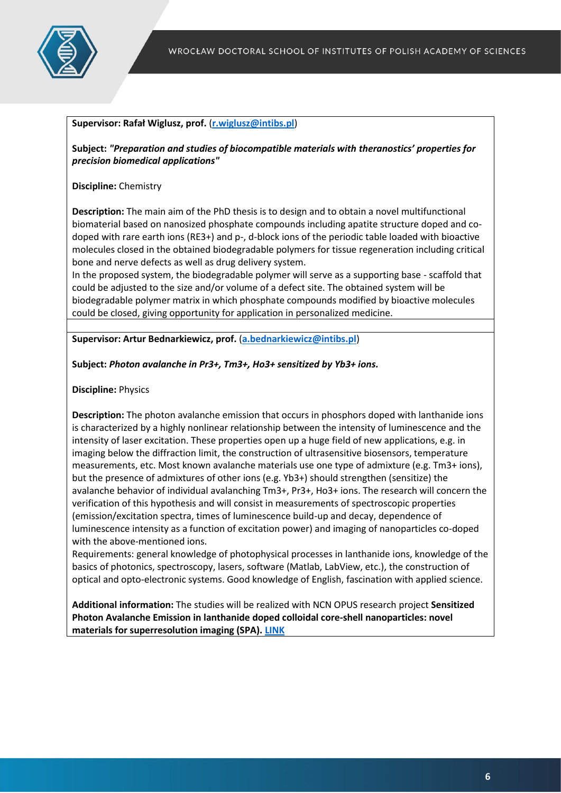

#### **Supervisor: Rafał Wiglusz, prof.** (**[r.wiglusz@intibs.pl](mailto:r.wiglusz@intibs.pl)**)

**Subject:** *"Preparation and studies of biocompatible materials with theranostics' properties for precision biomedical applications"*

**Discipline:** Chemistry

**Description:** The main aim of the PhD thesis is to design and to obtain a novel multifunctional biomaterial based on nanosized phosphate compounds including apatite structure doped and codoped with rare earth ions (RE3+) and p-, d-block ions of the periodic table loaded with bioactive molecules closed in the obtained biodegradable polymers for tissue regeneration including critical bone and nerve defects as well as drug delivery system.

In the proposed system, the biodegradable polymer will serve as a supporting base - scaffold that could be adjusted to the size and/or volume of a defect site. The obtained system will be biodegradable polymer matrix in which phosphate compounds modified by bioactive molecules could be closed, giving opportunity for application in personalized medicine.

**Supervisor: Artur Bednarkiewicz, prof.** (**[a.bednarkiewicz@intibs.pl](mailto:a.bednarkiewicz@intibs.pl)**)

#### **Subject:** *Photon avalanche in Pr3+, Tm3+, Ho3+ sensitized by Yb3+ ions.*

**Discipline:** Physics

**Description:** The photon avalanche emission that occurs in phosphors doped with lanthanide ions is characterized by a highly nonlinear relationship between the intensity of luminescence and the intensity of laser excitation. These properties open up a huge field of new applications, e.g. in imaging below the diffraction limit, the construction of ultrasensitive biosensors, temperature measurements, etc. Most known avalanche materials use one type of admixture (e.g. Tm3+ ions), but the presence of admixtures of other ions (e.g. Yb3+) should strengthen (sensitize) the avalanche behavior of individual avalanching Tm3+, Pr3+, Ho3+ ions. The research will concern the verification of this hypothesis and will consist in measurements of spectroscopic properties (emission/excitation spectra, times of luminescence build-up and decay, dependence of luminescence intensity as a function of excitation power) and imaging of nanoparticles co-doped with the above-mentioned ions.

Requirements: general knowledge of photophysical processes in lanthanide ions, knowledge of the basics of photonics, spectroscopy, lasers, software (Matlab, LabView, etc.), the construction of optical and opto-electronic systems. Good knowledge of English, fascination with applied science.

**Additional information:** The studies will be realized with NCN OPUS research project **Sensitized Photon Avalanche Emission in lanthanide doped colloidal core-shell nanoparticles: novel materials for superresolution imaging (SPA). [LINK](https://cms.intibs.pl/zespoly/lunasi/?view=article&id=1057:spa-project1&catid=43)**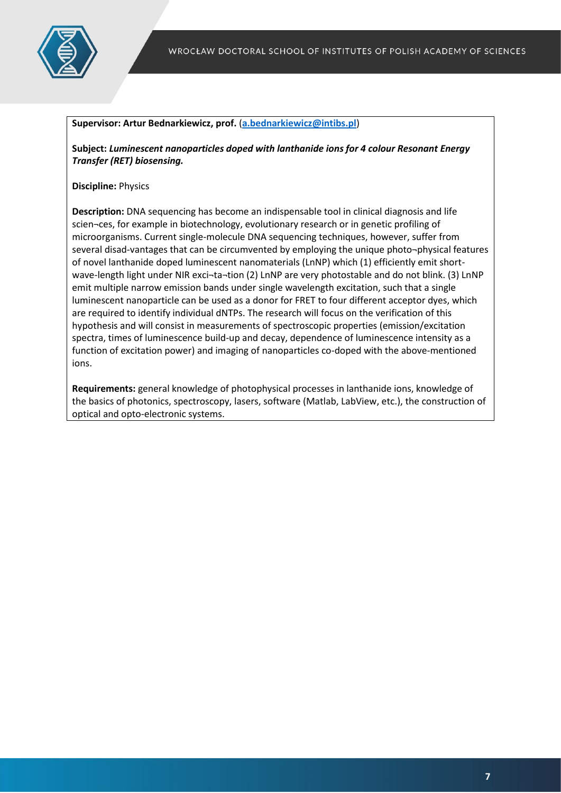

#### **Supervisor: Artur Bednarkiewicz, prof.** (**[a.bednarkiewicz@intibs.pl](mailto:a.bednarkiewicz@intibs.pl)**)

**Subject:** *Luminescent nanoparticles doped with lanthanide ions for 4 colour Resonant Energy Transfer (RET) biosensing.*

#### **Discipline:** Physics

**Description:** DNA sequencing has become an indispensable tool in clinical diagnosis and life scien¬ces, for example in biotechnology, evolutionary research or in genetic profiling of microorganisms. Current single-molecule DNA sequencing techniques, however, suffer from several disad-vantages that can be circumvented by employing the unique photo-physical features of novel lanthanide doped luminescent nanomaterials (LnNP) which (1) efficiently emit shortwave-length light under NIR exci-ta-tion (2) LnNP are very photostable and do not blink. (3) LnNP emit multiple narrow emission bands under single wavelength excitation, such that a single luminescent nanoparticle can be used as a donor for FRET to four different acceptor dyes, which are required to identify individual dNTPs. The research will focus on the verification of this hypothesis and will consist in measurements of spectroscopic properties (emission/excitation spectra, times of luminescence build-up and decay, dependence of luminescence intensity as a function of excitation power) and imaging of nanoparticles co-doped with the above-mentioned ions.

**Requirements:** general knowledge of photophysical processes in lanthanide ions, knowledge of the basics of photonics, spectroscopy, lasers, software (Matlab, LabView, etc.), the construction of optical and opto-electronic systems.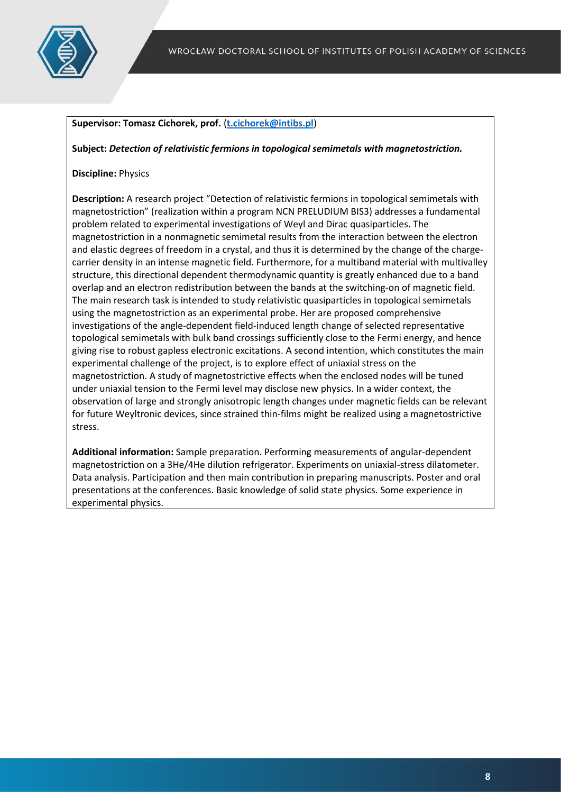

## **Supervisor: Tomasz Cichorek, prof.** (**[t.cichorek@intibs.pl](mailto:t.cichorek@intibs.pl)**)

**Subject:** *Detection of relativistic fermions in topological semimetals with magnetostriction.*

#### **Discipline:** Physics

**Description:** A research project "Detection of relativistic fermions in topological semimetals with magnetostriction" (realization within a program NCN PRELUDIUM BIS3) addresses a fundamental problem related to experimental investigations of Weyl and Dirac quasiparticles. The magnetostriction in a nonmagnetic semimetal results from the interaction between the electron and elastic degrees of freedom in a crystal, and thus it is determined by the change of the chargecarrier density in an intense magnetic field. Furthermore, for a multiband material with multivalley structure, this directional dependent thermodynamic quantity is greatly enhanced due to a band overlap and an electron redistribution between the bands at the switching-on of magnetic field. The main research task is intended to study relativistic quasiparticles in topological semimetals using the magnetostriction as an experimental probe. Her are proposed comprehensive investigations of the angle-dependent field-induced length change of selected representative topological semimetals with bulk band crossings sufficiently close to the Fermi energy, and hence giving rise to robust gapless electronic excitations. A second intention, which constitutes the main experimental challenge of the project, is to explore effect of uniaxial stress on the magnetostriction. A study of magnetostrictive effects when the enclosed nodes will be tuned under uniaxial tension to the Fermi level may disclose new physics. In a wider context, the observation of large and strongly anisotropic length changes under magnetic fields can be relevant for future Weyltronic devices, since strained thin-films might be realized using a magnetostrictive stress.

**Additional information:** Sample preparation. Performing measurements of angular-dependent magnetostriction on a 3He/4He dilution refrigerator. Experiments on uniaxial-stress dilatometer. Data analysis. Participation and then main contribution in preparing manuscripts. Poster and oral presentations at the conferences. Basic knowledge of solid state physics. Some experience in experimental physics.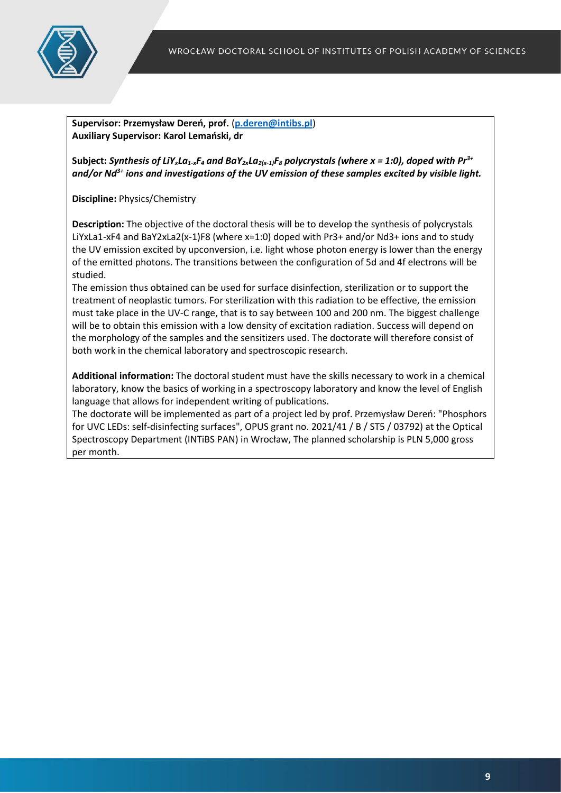

**Supervisor: Przemysław Dereń, prof.** (**[p.deren@intibs.pl](mailto:p.deren@intibs.pl)**) **Auxiliary Supervisor: Karol Lemański, dr**

Subject: *Synthesis of LiY<sub>x</sub>La<sub>1-x</sub>F<sub>4</sub> and BaY<sub>2x</sub>La<sub>2(x-1)</sub>F<sub>8</sub> polycrystals (where x = 1:0), doped with*  $Pr^{3+}$ *and/or Nd3+ ions and investigations of the UV emission of these samples excited by visible light.*

**Discipline:** Physics/Chemistry

**Description:** The objective of the doctoral thesis will be to develop the synthesis of polycrystals LiYxLa1-xF4 and BaY2xLa2(x-1)F8 (where x=1:0) doped with Pr3+ and/or Nd3+ ions and to study the UV emission excited by upconversion, i.e. light whose photon energy is lower than the energy of the emitted photons. The transitions between the configuration of 5d and 4f electrons will be studied.

The emission thus obtained can be used for surface disinfection, sterilization or to support the treatment of neoplastic tumors. For sterilization with this radiation to be effective, the emission must take place in the UV-C range, that is to say between 100 and 200 nm. The biggest challenge will be to obtain this emission with a low density of excitation radiation. Success will depend on the morphology of the samples and the sensitizers used. The doctorate will therefore consist of both work in the chemical laboratory and spectroscopic research.

**Additional information:** The doctoral student must have the skills necessary to work in a chemical laboratory, know the basics of working in a spectroscopy laboratory and know the level of English language that allows for independent writing of publications.

The doctorate will be implemented as part of a project led by prof. Przemysław Dereń: "Phosphors for UVC LEDs: self-disinfecting surfaces", OPUS grant no. 2021/41 / B / ST5 / 03792) at the Optical Spectroscopy Department (INTiBS PAN) in Wrocław, The planned scholarship is PLN 5,000 gross per month.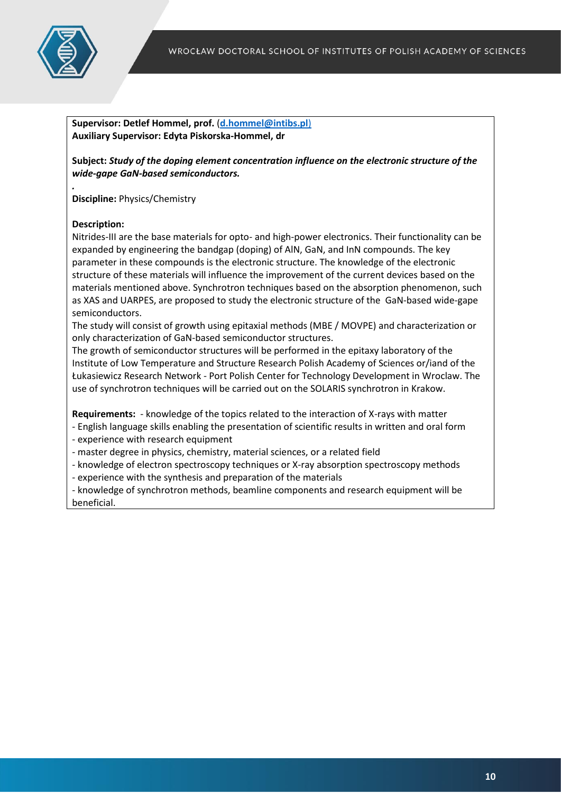

**Supervisor: Detlef Hommel, prof.** (**[d.hommel@intibs.pl](mailto:d.hommel@intibs.pl)**) **Auxiliary Supervisor: Edyta Piskorska-Hommel, dr**

**Subject:** *Study of the doping element concentration influence on the electronic structure of the wide-gape GaN-based semiconductors.*

**Discipline:** Physics/Chemistry

#### **Description:**

*.*

Nitrides-III are the base materials for opto- and high-power electronics. Their functionality can be expanded by engineering the bandgap (doping) of AlN, GaN, and InN compounds. The key parameter in these compounds is the electronic structure. The knowledge of the electronic structure of these materials will influence the improvement of the current devices based on the materials mentioned above. Synchrotron techniques based on the absorption phenomenon, such as XAS and UARPES, are proposed to study the electronic structure of the GaN-based wide-gape semiconductors.

The study will consist of growth using epitaxial methods (MBE / MOVPE) and characterization or only characterization of GaN-based semiconductor structures.

The growth of semiconductor structures will be performed in the epitaxy laboratory of the Institute of Low Temperature and Structure Research Polish Academy of Sciences or/iand of the Łukasiewicz Research Network - Port Polish Center for Technology Development in Wroclaw. The use of synchrotron techniques will be carried out on the SOLARIS synchrotron in Krakow.

**Requirements:** - knowledge of the topics related to the interaction of X-rays with matter

- English language skills enabling the presentation of scientific results in written and oral form
- experience with research equipment
- master degree in physics, chemistry, material sciences, or a related field
- knowledge of electron spectroscopy techniques or X-ray absorption spectroscopy methods
- experience with the synthesis and preparation of the materials

- knowledge of synchrotron methods, beamline components and research equipment will be beneficial.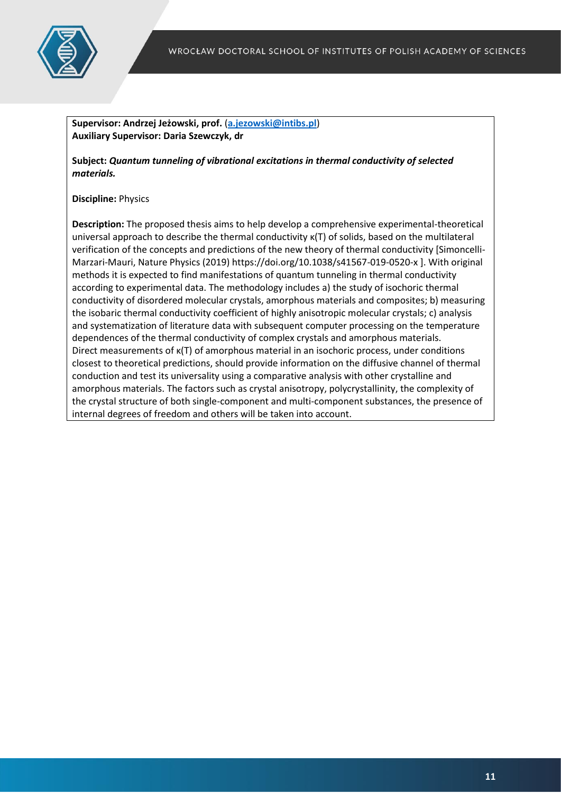

**Supervisor: Andrzej Jeżowski, prof.** (**[a.jezowski@intibs.pl](mailto:a.jezowski@intibs.pl)**) **Auxiliary Supervisor: Daria Szewczyk, dr**

**Subject:** *Quantum tunneling of vibrational excitations in thermal conductivity of selected materials.*

#### **Discipline:** Physics

**Description:** The proposed thesis aims to help develop a comprehensive experimental-theoretical universal approach to describe the thermal conductivity κ(T) of solids, based on the multilateral verification of the concepts and predictions of the new theory of thermal conductivity [Simoncelli-Marzari-Mauri, Nature Physics (2019) https://doi.org/10.1038/s41567-019-0520-x ]. With original methods it is expected to find manifestations of quantum tunneling in thermal conductivity according to experimental data. The methodology includes a) the study of isochoric thermal conductivity of disordered molecular crystals, amorphous materials and composites; b) measuring the isobaric thermal conductivity coefficient of highly anisotropic molecular crystals; c) analysis and systematization of literature data with subsequent computer processing on the temperature dependences of the thermal conductivity of complex crystals and amorphous materials. Direct measurements of κ(T) of amorphous material in an isochoric process, under conditions closest to theoretical predictions, should provide information on the diffusive channel of thermal conduction and test its universality using a comparative analysis with other crystalline and amorphous materials. The factors such as crystal anisotropy, polycrystallinity, the complexity of the crystal structure of both single-component and multi-component substances, the presence of internal degrees of freedom and others will be taken into account.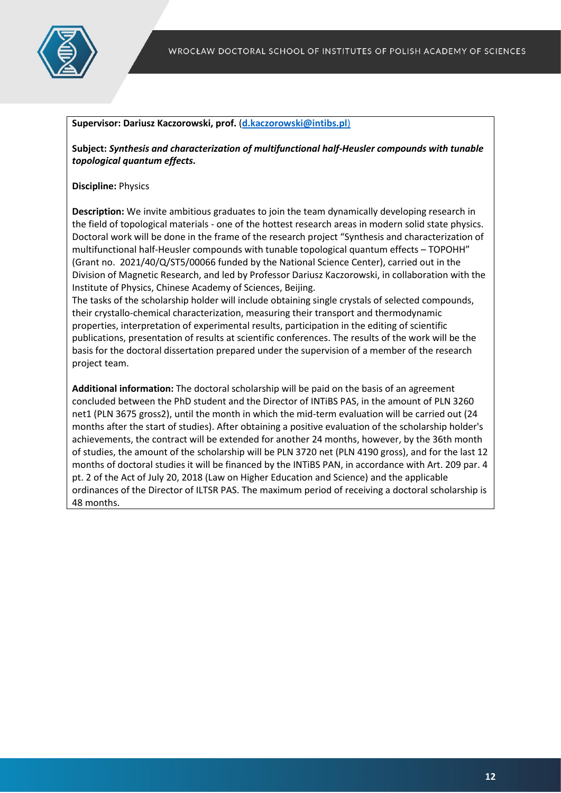

#### **Supervisor: Dariusz Kaczorowski, prof.** (**[d.kaczorowski@intibs.pl](mailto:d.kaczorowski@intibs.pl)**)

**Subject:** *Synthesis and characterization of multifunctional half-Heusler compounds with tunable topological quantum effects.*

#### **Discipline:** Physics

**Description:** We invite ambitious graduates to join the team dynamically developing research in the field of topological materials - one of the hottest research areas in modern solid state physics. Doctoral work will be done in the frame of the research project "Synthesis and characterization of multifunctional half-Heusler compounds with tunable topological quantum effects – TOPOHH" (Grant no. 2021/40/Q/ST5/00066 funded by the National Science Center), carried out in the Division of Magnetic Research, and led by Professor Dariusz Kaczorowski, in collaboration with the Institute of Physics, Chinese Academy of Sciences, Beijing.

The tasks of the scholarship holder will include obtaining single crystals of selected compounds, their crystallo-chemical characterization, measuring their transport and thermodynamic properties, interpretation of experimental results, participation in the editing of scientific publications, presentation of results at scientific conferences. The results of the work will be the basis for the doctoral dissertation prepared under the supervision of a member of the research project team.

**Additional information:** The doctoral scholarship will be paid on the basis of an agreement concluded between the PhD student and the Director of INTiBS PAS, in the amount of PLN 3260 net1 (PLN 3675 gross2), until the month in which the mid-term evaluation will be carried out (24 months after the start of studies). After obtaining a positive evaluation of the scholarship holder's achievements, the contract will be extended for another 24 months, however, by the 36th month of studies, the amount of the scholarship will be PLN 3720 net (PLN 4190 gross), and for the last 12 months of doctoral studies it will be financed by the INTiBS PAN, in accordance with Art. 209 par. 4 pt. 2 of the Act of July 20, 2018 (Law on Higher Education and Science) and the applicable ordinances of the Director of ILTSR PAS. The maximum period of receiving a doctoral scholarship is 48 months.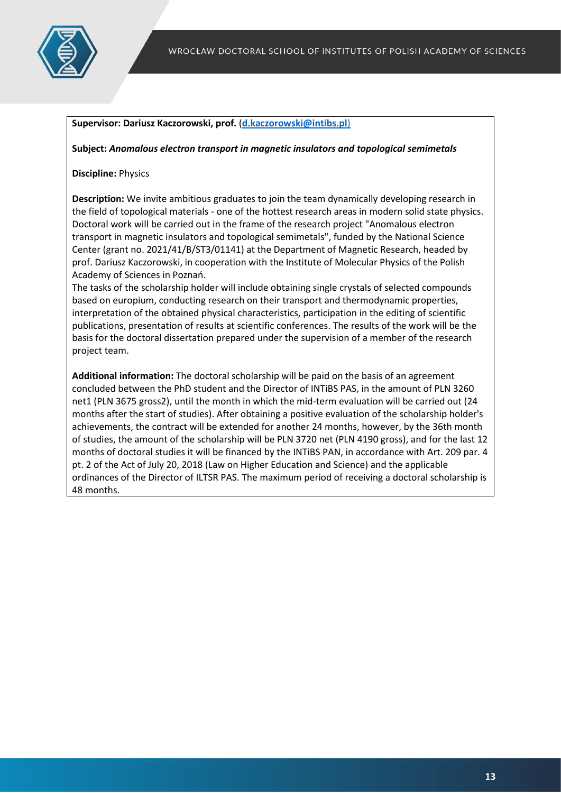

#### **Supervisor: Dariusz Kaczorowski, prof.** (**[d.kaczorowski@intibs.pl](mailto:d.kaczorowski@intibs.pl)**)

#### **Subject:** *Anomalous electron transport in magnetic insulators and topological semimetals*

#### **Discipline:** Physics

**Description:** We invite ambitious graduates to join the team dynamically developing research in the field of topological materials - one of the hottest research areas in modern solid state physics. Doctoral work will be carried out in the frame of the research project "Anomalous electron transport in magnetic insulators and topological semimetals", funded by the National Science Center (grant no. 2021/41/B/ST3/01141) at the Department of Magnetic Research, headed by prof. Dariusz Kaczorowski, in cooperation with the Institute of Molecular Physics of the Polish Academy of Sciences in Poznań.

The tasks of the scholarship holder will include obtaining single crystals of selected compounds based on europium, conducting research on their transport and thermodynamic properties, interpretation of the obtained physical characteristics, participation in the editing of scientific publications, presentation of results at scientific conferences. The results of the work will be the basis for the doctoral dissertation prepared under the supervision of a member of the research project team.

**Additional information:** The doctoral scholarship will be paid on the basis of an agreement concluded between the PhD student and the Director of INTiBS PAS, in the amount of PLN 3260 net1 (PLN 3675 gross2), until the month in which the mid-term evaluation will be carried out (24 months after the start of studies). After obtaining a positive evaluation of the scholarship holder's achievements, the contract will be extended for another 24 months, however, by the 36th month of studies, the amount of the scholarship will be PLN 3720 net (PLN 4190 gross), and for the last 12 months of doctoral studies it will be financed by the INTiBS PAN, in accordance with Art. 209 par. 4 pt. 2 of the Act of July 20, 2018 (Law on Higher Education and Science) and the applicable ordinances of the Director of ILTSR PAS. The maximum period of receiving a doctoral scholarship is 48 months.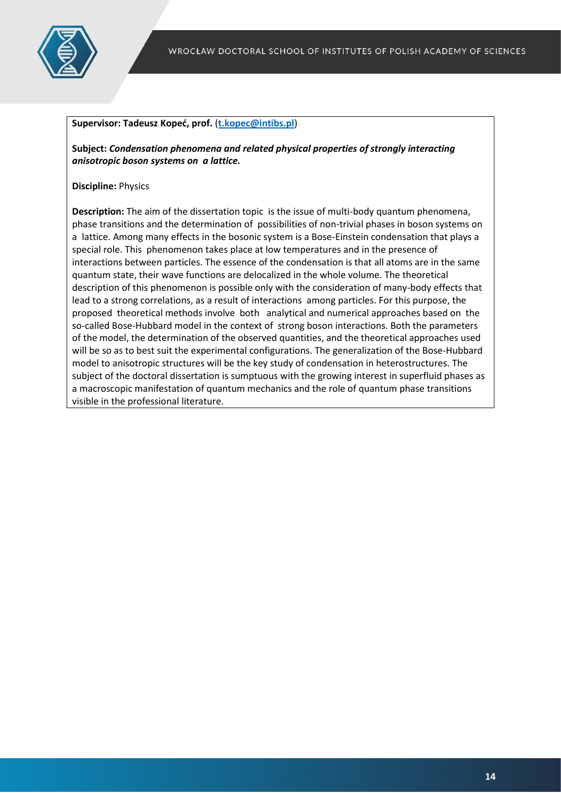

#### **Supervisor: Tadeusz Kopeć, prof.** (**[t.kopec@intibs.pl](mailto:t.kopec@intibs.pl)**)

**Subject:** *Condensation phenomena and related physical properties of strongly interacting anisotropic boson systems on a lattice.*

#### **Discipline:** Physics

**Description:** The aim of the dissertation topic is the issue of multi-body quantum phenomena, phase transitions and the determination of possibilities of non-trivial phases in boson systems on a lattice. Among many effects in the bosonic system is a Bose-Einstein condensation that plays a special role. This phenomenon takes place at low temperatures and in the presence of interactions between particles. The essence of the condensation is that all atoms are in the same quantum state, their wave functions are delocalized in the whole volume. The theoretical description of this phenomenon is possible only with the consideration of many-body effects that lead to a strong correlations, as a result of interactions among particles. For this purpose, the proposed theoretical methods involve both analytical and numerical approaches based on the so-called Bose-Hubbard model in the context of strong boson interactions. Both the parameters of the model, the determination of the observed quantities, and the theoretical approaches used will be so as to best suit the experimental configurations. The generalization of the Bose-Hubbard model to anisotropic structures will be the key study of condensation in heterostructures. The subject of the doctoral dissertation is sumptuous with the growing interest in superfluid phases as a macroscopic manifestation of quantum mechanics and the role of quantum phase transitions visible in the professional literature.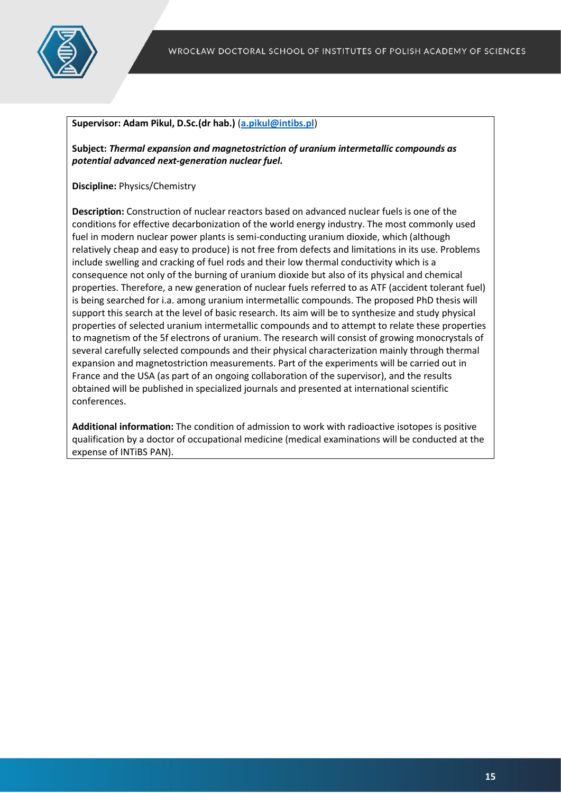

#### **Supervisor: Adam Pikul, D.Sc.(dr hab.)** (**[a.pikul@intibs.pl](mailto:a.pikul@intibs.pl)**)

**Subject:** *Thermal expansion and magnetostriction of uranium intermetallic compounds as potential advanced next-generation nuclear fuel.*

**Discipline:** Physics/Chemistry

**Description:** Construction of nuclear reactors based on advanced nuclear fuels is one of the conditions for effective decarbonization of the world energy industry. The most commonly used fuel in modern nuclear power plants is semi-conducting uranium dioxide, which (although relatively cheap and easy to produce) is not free from defects and limitations in its use. Problems include swelling and cracking of fuel rods and their low thermal conductivity which is a consequence not only of the burning of uranium dioxide but also of its physical and chemical properties. Therefore, a new generation of nuclear fuels referred to as ATF (accident tolerant fuel) is being searched for i.a. among uranium intermetallic compounds. The proposed PhD thesis will support this search at the level of basic research. Its aim will be to synthesize and study physical properties of selected uranium intermetallic compounds and to attempt to relate these properties to magnetism of the 5f electrons of uranium. The research will consist of growing monocrystals of several carefully selected compounds and their physical characterization mainly through thermal expansion and magnetostriction measurements. Part of the experiments will be carried out in France and the USA (as part of an ongoing collaboration of the supervisor), and the results obtained will be published in specialized journals and presented at international scientific conferences.

**Additional information:** The condition of admission to work with radioactive isotopes is positive qualification by a doctor of occupational medicine (medical examinations will be conducted at the expense of INTiBS PAN).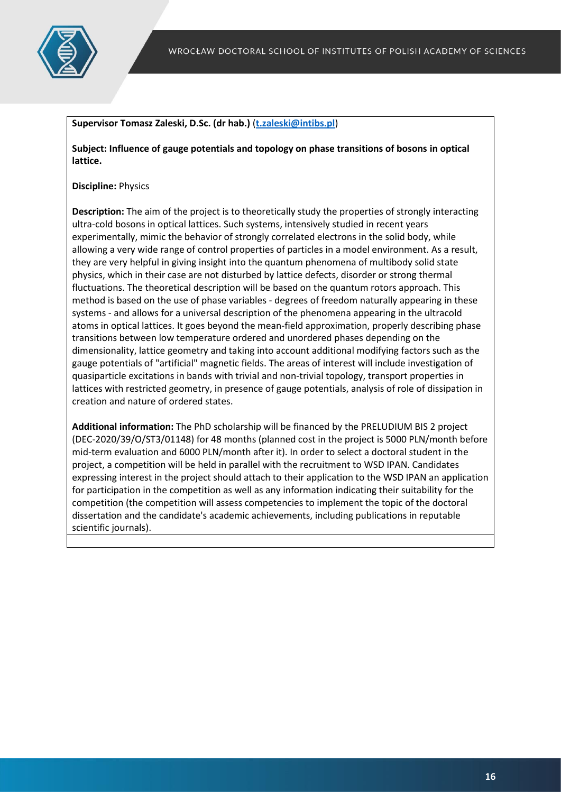

#### **Supervisor Tomasz Zaleski, D.Sc. (dr hab.)** (**[t.zaleski@intibs.pl](mailto:t.zaleski@intibs.pl)**)

**Subject: Influence of gauge potentials and topology on phase transitions of bosons in optical lattice.**

#### **Discipline:** Physics

**Description:** The aim of the project is to theoretically study the properties of strongly interacting ultra-cold bosons in optical lattices. Such systems, intensively studied in recent years experimentally, mimic the behavior of strongly correlated electrons in the solid body, while allowing a very wide range of control properties of particles in a model environment. As a result, they are very helpful in giving insight into the quantum phenomena of multibody solid state physics, which in their case are not disturbed by lattice defects, disorder or strong thermal fluctuations. The theoretical description will be based on the quantum rotors approach. This method is based on the use of phase variables - degrees of freedom naturally appearing in these systems - and allows for a universal description of the phenomena appearing in the ultracold atoms in optical lattices. It goes beyond the mean-field approximation, properly describing phase transitions between low temperature ordered and unordered phases depending on the dimensionality, lattice geometry and taking into account additional modifying factors such as the gauge potentials of "artificial" magnetic fields. The areas of interest will include investigation of quasiparticle excitations in bands with trivial and non-trivial topology, transport properties in lattices with restricted geometry, in presence of gauge potentials, analysis of role of dissipation in creation and nature of ordered states.

**Additional information:** The PhD scholarship will be financed by the PRELUDIUM BIS 2 project (DEC-2020/39/O/ST3/01148) for 48 months (planned cost in the project is 5000 PLN/month before mid-term evaluation and 6000 PLN/month after it). In order to select a doctoral student in the project, a competition will be held in parallel with the recruitment to WSD IPAN. Candidates expressing interest in the project should attach to their application to the WSD IPAN an application for participation in the competition as well as any information indicating their suitability for the competition (the competition will assess competencies to implement the topic of the doctoral dissertation and the candidate's academic achievements, including publications in reputable scientific journals).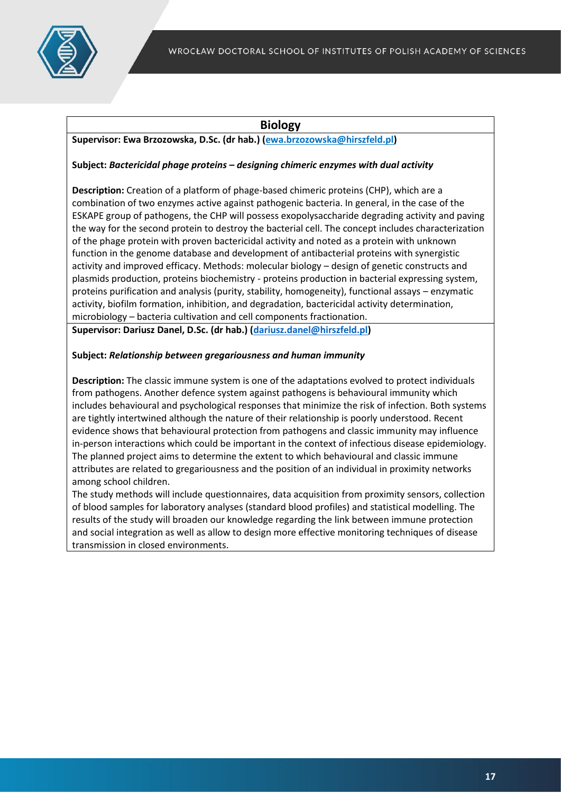

# **Biology**

# **Supervisor: Ewa Brzozowska, D.Sc. (dr hab.) (ewa.brzozowska@hirszfeld.pl)**

## **Subject:** *Bactericidal phage proteins – designing chimeric enzymes with dual activity*

**Description:** Creation of a platform of phage-based chimeric proteins (CHP), which are a combination of two enzymes active against pathogenic bacteria. In general, in the case of the ESKAPE group of pathogens, the CHP will possess exopolysaccharide degrading activity and paving the way for the second protein to destroy the bacterial cell. The concept includes characterization of the phage protein with proven bactericidal activity and noted as a protein with unknown function in the genome database and development of antibacterial proteins with synergistic activity and improved efficacy. Methods: molecular biology – design of genetic constructs and plasmids production, proteins biochemistry - proteins production in bacterial expressing system, proteins purification and analysis (purity, stability, homogeneity), functional assays – enzymatic activity, biofilm formation, inhibition, and degradation, bactericidal activity determination, microbiology – bacteria cultivation and cell components fractionation.

**Supervisor: Dariusz Danel, D.Sc. (dr hab.) [\(dariusz.danel@hirszfeld.pl\)](mailto:dariusz.danel@hirszfeld.pl)**

#### **Subject:** *Relationship between gregariousness and human immunity*

**Description:** The classic immune system is one of the adaptations evolved to protect individuals from pathogens. Another defence system against pathogens is behavioural immunity which includes behavioural and psychological responses that minimize the risk of infection. Both systems are tightly intertwined although the nature of their relationship is poorly understood. Recent evidence shows that behavioural protection from pathogens and classic immunity may influence in-person interactions which could be important in the context of infectious disease epidemiology. The planned project aims to determine the extent to which behavioural and classic immune attributes are related to gregariousness and the position of an individual in proximity networks among school children.

The study methods will include questionnaires, data acquisition from proximity sensors, collection of blood samples for laboratory analyses (standard blood profiles) and statistical modelling. The results of the study will broaden our knowledge regarding the link between immune protection and social integration as well as allow to design more effective monitoring techniques of disease transmission in closed environments.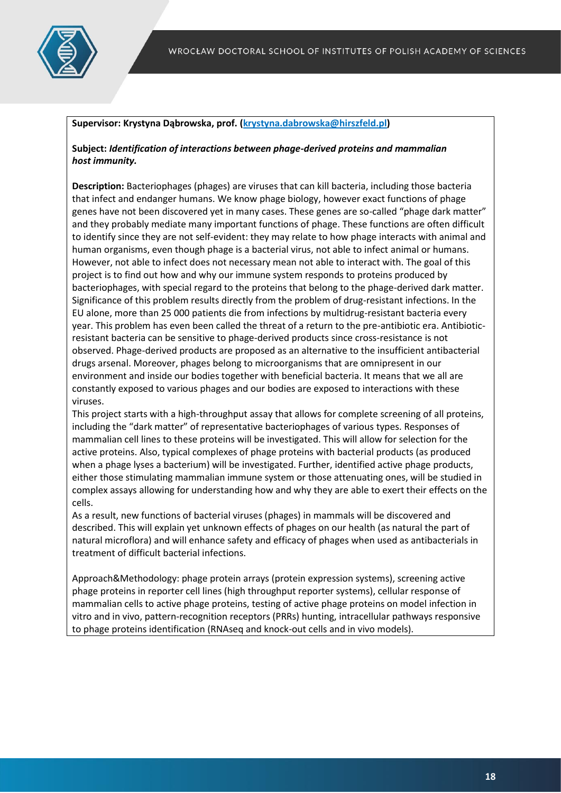

#### **Supervisor: Krystyna Dąbrowska, prof. (krystyna.dabrowska@hirszfeld.pl)**

#### **Subject:** *Identification of interactions between phage-derived proteins and mammalian host immunity.*

**Description:** Bacteriophages (phages) are viruses that can kill bacteria, including those bacteria that infect and endanger humans. We know phage biology, however exact functions of phage genes have not been discovered yet in many cases. These genes are so-called "phage dark matter" and they probably mediate many important functions of phage. These functions are often difficult to identify since they are not self-evident: they may relate to how phage interacts with animal and human organisms, even though phage is a bacterial virus, not able to infect animal or humans. However, not able to infect does not necessary mean not able to interact with. The goal of this project is to find out how and why our immune system responds to proteins produced by bacteriophages, with special regard to the proteins that belong to the phage-derived dark matter. Significance of this problem results directly from the problem of drug-resistant infections. In the EU alone, more than 25 000 patients die from infections by multidrug-resistant bacteria every year. This problem has even been called the threat of a return to the pre-antibiotic era. Antibioticresistant bacteria can be sensitive to phage-derived products since cross-resistance is not observed. Phage-derived products are proposed as an alternative to the insufficient antibacterial drugs arsenal. Moreover, phages belong to microorganisms that are omnipresent in our environment and inside our bodies together with beneficial bacteria. It means that we all are constantly exposed to various phages and our bodies are exposed to interactions with these viruses.

This project starts with a high-throughput assay that allows for complete screening of all proteins, including the "dark matter" of representative bacteriophages of various types. Responses of mammalian cell lines to these proteins will be investigated. This will allow for selection for the active proteins. Also, typical complexes of phage proteins with bacterial products (as produced when a phage lyses a bacterium) will be investigated. Further, identified active phage products, either those stimulating mammalian immune system or those attenuating ones, will be studied in complex assays allowing for understanding how and why they are able to exert their effects on the cells.

As a result, new functions of bacterial viruses (phages) in mammals will be discovered and described. This will explain yet unknown effects of phages on our health (as natural the part of natural microflora) and will enhance safety and efficacy of phages when used as antibacterials in treatment of difficult bacterial infections.

Approach&Methodology: phage protein arrays (protein expression systems), screening active phage proteins in reporter cell lines (high throughput reporter systems), cellular response of mammalian cells to active phage proteins, testing of active phage proteins on model infection in vitro and in vivo, pattern-recognition receptors (PRRs) hunting, intracellular pathways responsive to phage proteins identification (RNAseq and knock-out cells and in vivo models).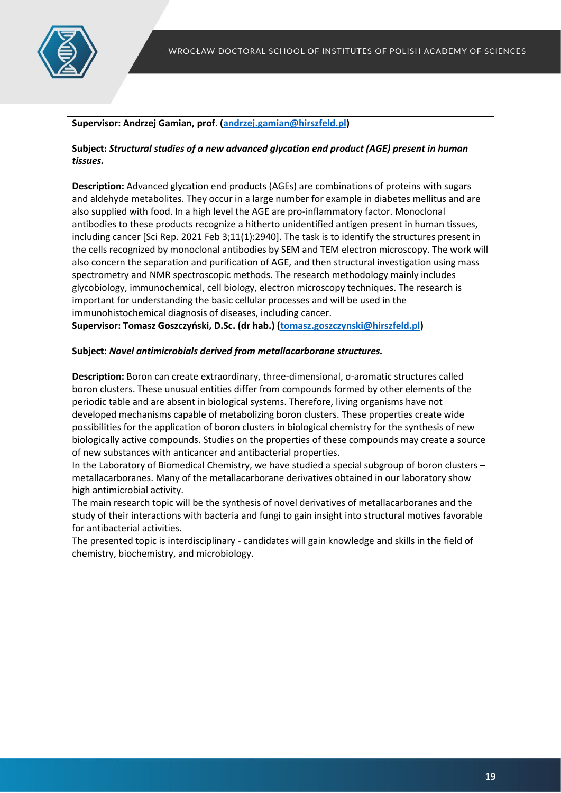

# **Supervisor: Andrzej Gamian, prof**. **[\(andrzej.gamian@hirszfeld.pl\)](mailto:andrzej.gamian@hirszfeld.pl)**

**Subject:** *Structural studies of a new advanced glycation end product (AGE) present in human tissues.*

**Description:** Advanced glycation end products (AGEs) are combinations of proteins with sugars and aldehyde metabolites. They occur in a large number for example in diabetes mellitus and are also supplied with food. In a high level the AGE are pro-inflammatory factor. Monoclonal antibodies to these products recognize a hitherto unidentified antigen present in human tissues, including cancer [Sci Rep. 2021 Feb 3;11(1):2940]. The task is to identify the structures present in the cells recognized by monoclonal antibodies by SEM and TEM electron microscopy. The work will also concern the separation and purification of AGE, and then structural investigation using mass spectrometry and NMR spectroscopic methods. The research methodology mainly includes glycobiology, immunochemical, cell biology, electron microscopy techniques. The research is important for understanding the basic cellular processes and will be used in the immunohistochemical diagnosis of diseases, including cancer.

**Supervisor: Tomasz Goszczyński, D.Sc. (dr hab.) [\(tomasz.goszczynski@hirszfeld.pl\)](mailto:tomasz.goszczynski@hirszfeld.pl)**

# **Subject:** *Novel antimicrobials derived from metallacarborane structures.*

**Description:** Boron can create extraordinary, three-dimensional, σ-aromatic structures called boron clusters. These unusual entities differ from compounds formed by other elements of the periodic table and are absent in biological systems. Therefore, living organisms have not developed mechanisms capable of metabolizing boron clusters. These properties create wide possibilities for the application of boron clusters in biological chemistry for the synthesis of new biologically active compounds. Studies on the properties of these compounds may create a source of new substances with anticancer and antibacterial properties.

In the Laboratory of Biomedical Chemistry, we have studied a special subgroup of boron clusters – metallacarboranes. Many of the metallacarborane derivatives obtained in our laboratory show high antimicrobial activity.

The main research topic will be the synthesis of novel derivatives of metallacarboranes and the study of their interactions with bacteria and fungi to gain insight into structural motives favorable for antibacterial activities.

The presented topic is interdisciplinary - candidates will gain knowledge and skills in the field of chemistry, biochemistry, and microbiology.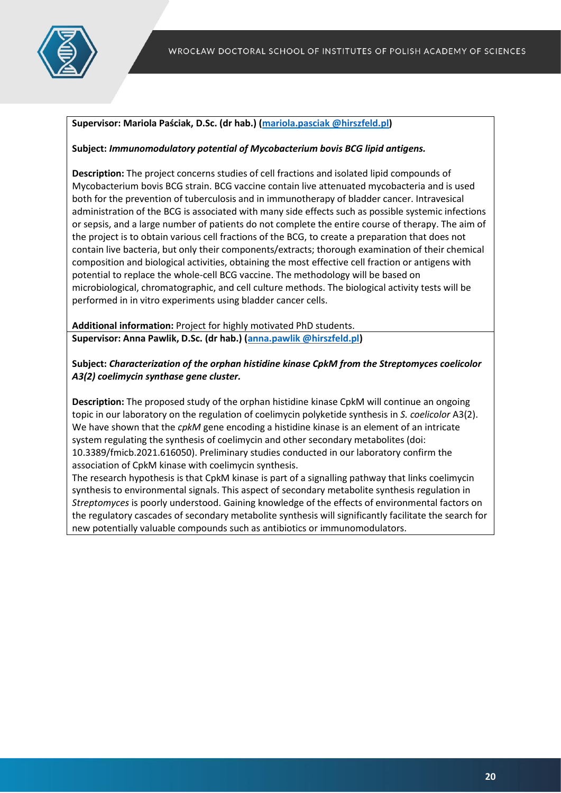

# **Supervisor: Mariola Paściak, D.Sc. (dr hab.) [\(mariola.pasciak @hirszfeld.pl\)](mailto:sabina.gorska@hirszfeld.pl)**

#### **Subject:** *Immunomodulatory potential of Mycobacterium bovis BCG lipid antigens.*

**Description:** The project concerns studies of cell fractions and isolated lipid compounds of Mycobacterium bovis BCG strain. BCG vaccine contain live attenuated mycobacteria and is used both for the prevention of tuberculosis and in immunotherapy of bladder cancer. Intravesical administration of the BCG is associated with many side effects such as possible systemic infections or sepsis, and a large number of patients do not complete the entire course of therapy. The aim of the project is to obtain various cell fractions of the BCG, to create a preparation that does not contain live bacteria, but only their components/extracts; thorough examination of their chemical composition and biological activities, obtaining the most effective cell fraction or antigens with potential to replace the whole-cell BCG vaccine. The methodology will be based on microbiological, chromatographic, and cell culture methods. The biological activity tests will be performed in in vitro experiments using bladder cancer cells.

**Additional information:** Project for highly motivated PhD students. **Supervisor: Anna Pawlik, D.Sc. (dr hab.) [\(anna.pawlik @hirszfeld.pl\)](mailto:ewa.jaskiewicz@hirszfeld.pl)**

# **Subject:** *Characterization of the orphan histidine kinase CpkM from the Streptomyces coelicolor A3(2) coelimycin synthase gene cluster.*

**Description:** The proposed study of the orphan histidine kinase CpkM will continue an ongoing topic in our laboratory on the regulation of coelimycin polyketide synthesis in *S. coelicolor* A3(2). We have shown that the *cpkM* gene encoding a histidine kinase is an element of an intricate system regulating the synthesis of coelimycin and other secondary metabolites (doi: 10.3389/fmicb.2021.616050). Preliminary studies conducted in our laboratory confirm the association of CpkM kinase with coelimycin synthesis.

The research hypothesis is that CpkM kinase is part of a signalling pathway that links coelimycin synthesis to environmental signals. This aspect of secondary metabolite synthesis regulation in *Streptomyces* is poorly understood. Gaining knowledge of the effects of environmental factors on the regulatory cascades of secondary metabolite synthesis will significantly facilitate the search for new potentially valuable compounds such as antibiotics or immunomodulators.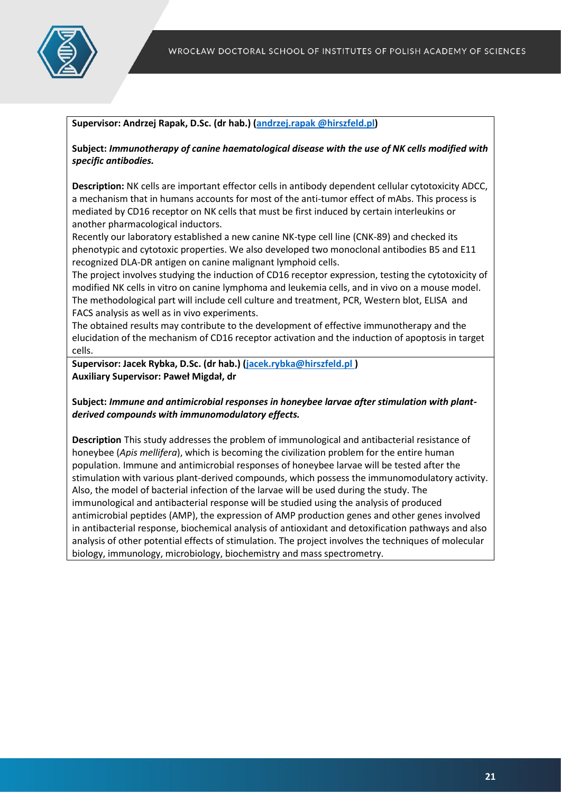

#### **Supervisor: Andrzej Rapak, D.Sc. (dr hab.) [\(andrzej.rapak @hirszfeld.pl\)](mailto:slawomir.koziel@hirszfeld.pl)**

**Subject:** *Immunotherapy of canine haematological disease with the use of NK cells modified with specific antibodies.*

**Description:** NK cells are important effector cells in antibody dependent cellular cytotoxicity ADCC, a mechanism that in humans accounts for most of the anti-tumor effect of mAbs. This process is mediated by CD16 receptor on NK cells that must be first induced by certain interleukins or another pharmacological inductors.

Recently our laboratory established a new canine NK-type cell line (CNK-89) and checked its phenotypic and cytotoxic properties. We also developed two monoclonal antibodies B5 and E11 recognized DLA-DR antigen on canine malignant lymphoid cells.

The project involves studying the induction of CD16 receptor expression, testing the cytotoxicity of modified NK cells in vitro on canine lymphoma and leukemia cells, and in vivo on a mouse model. The methodological part will include cell culture and treatment, PCR, Western blot, ELISA and FACS analysis as well as in vivo experiments.

The obtained results may contribute to the development of effective immunotherapy and the elucidation of the mechanism of CD16 receptor activation and the induction of apoptosis in target cells.

**Supervisor: Jacek Rybka, D.Sc. (dr hab.) [\(jacek.rybka@hirszfeld.pl \)](mailto:jacek.rybka@hirszfeld.pl) Auxiliary Supervisor: Paweł Migdał, dr**

**Subject:** *Immune and antimicrobial responses in honeybee larvae after stimulation with plantderived compounds with immunomodulatory effects.*

**Description** This study addresses the problem of immunological and antibacterial resistance of honeybee (*Apis mellifera*), which is becoming the civilization problem for the entire human population. Immune and antimicrobial responses of honeybee larvae will be tested after the stimulation with various plant-derived compounds, which possess the immunomodulatory activity. Also, the model of bacterial infection of the larvae will be used during the study. The immunological and antibacterial response will be studied using the analysis of produced antimicrobial peptides (AMP), the expression of AMP production genes and other genes involved in antibacterial response, biochemical analysis of antioxidant and detoxification pathways and also analysis of other potential effects of stimulation. The project involves the techniques of molecular biology, immunology, microbiology, biochemistry and mass spectrometry.